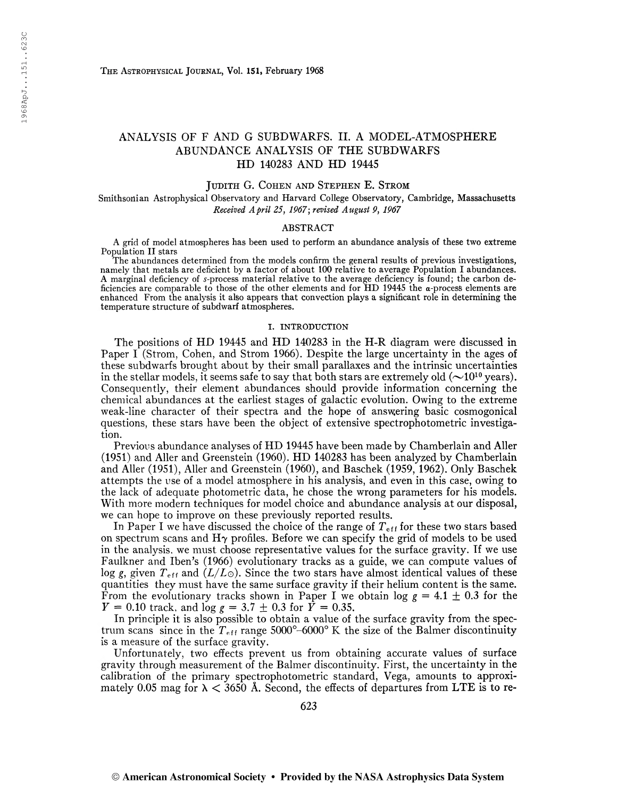# ANALYSIS OF F AND G SUBDWARFS. II. A MODEL-ATMOSPHERE ABUNDANCE ANALYSIS OF THE SUBDWARFS HD 140283 AND HD 19445

#### Judith G. Cohen and Stephen E. Strom

Smithsonian Astrophysical Observatory and Harvard College Observatory, Cambridge, Massachusetts Received April 25, 1967; revised August 9, 1967

## ABSTRACT

A grid of model atmospheres has been used to perform an abundance analysis of these two extreme Population II stars

The abundances determined from the models confirm the general results of previous investigations, namely that metals are deficient by a factor of about 100 relative to average Population I abundances. A marginal deficiency of s-process material relative to the average deficiency is found; the carbon deficiencies are comparable to those of the other elements and for HD 19445 the a-process elements are enhanced From the analysis it also appears that convection plays a significant role in determining the temperature structure of subdwarf atmospheres.

#### I. INTRODUCTION

The positions of HD 19445 and HD 140283 in the H-R diagram were discussed in Paper I (Strom, Cohen, and Strom 1966). Despite the large uncertainty in the ages of these subdwarfs brought about by their small parallaxes and the intrinsic uncertainties in the stellar models, it seems safe to say that both stars are extremely old ( $\sim$ 10<sup>10</sup> years). Consequently, their element abundances should provide information concerning the chemical abundances at the earliest stages of galactic evolution. Owing to the extreme weak-line character of their spectra and the hope of answering basic cosmogonical questions, these stars have been the object of extensive spectrophotometric investigation.

Previous abundance analyses of HD 19445 have been made by Chamberlain and Aller (1951) and Aller and Greenstein (1960). HD 140283 has been analyzed by Chamberlain and Aller (1951), Aller and Greenstein (I960), and Baschek (1959, 1962). Only Baschek attempts the use of a model atmosphere in his analysis, and even in this case, owing to the lack of adequate photometric data, he chose the wrong parameters for his models. With more modern techniques for model choice and abundance analysis at our disposal, we can hope to improve on these previously reported results.

In Paper I we have discussed the choice of the range of  $T_{\text{eff}}$  for these two stars based on spectrum scans and  $H\gamma$  profiles. Before we can specify the grid of models to be used in the analysis, we must choose representative values for the surface gravity. If we use Faulkner and Iben's (1966) evolutionary tracks as a guide, we can compute values of log g, given  $T_{\text{eff}}$  and  $(L/L_{\odot})$ . Since the two stars have almost identical values of these quantities they must have the same surface gravity if their helium content is the same. From the evolutionary tracks shown in Paper I we obtain  $\log g = 4.1 \pm 0.3$  for the  $Y = 0.10$  track, and  $\log g = 3.7 \pm 0.3$  for  $\bar{Y} = 0.35$ .

In principle it is also possible to obtain a value of the surface gravity from the spectrum scans since in the  $T_{\text{eff}}$  range  $5000^{\circ}$ –6000° K the size of the Balmer discontinuity is a measure of the surface gravity.

Unfortunately, two effects prevent us from obtaining accurate values of surface gravity through measurement of the Balmer discontinuity. First, the uncertainty in the calibration of the primary spectrophotometric standard, Vega, amounts to approximately 0.05 mag for  $\lambda$  < 3650 Å. Second, the effects of departures from LTE is to re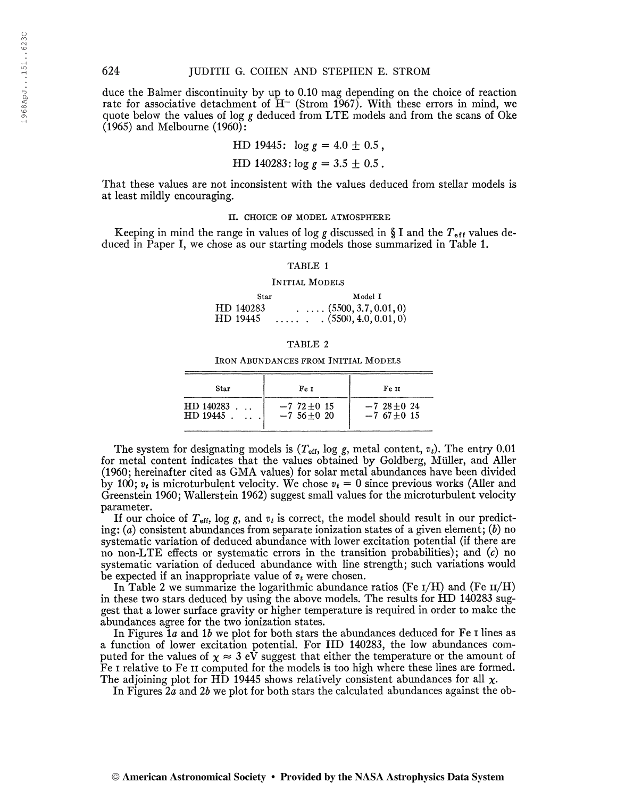duce the Baimer discontinuity by up to 0.10 mag depending on the choice of reaction rate for associative detachment of  $H^-$  (Strom 1967). With these errors in mind, we quote below the values of log g deduced from LTE models and from the scans of Oke  $(1965)$  and Melbourne  $(1960)$ :

HD 19445: 
$$
\log g = 4.0 \pm 0.5
$$
,

HD 140283:  $\log g = 3.5 \pm 0.5$ .

That these values are not inconsistent with the values deduced from stellar models is at least mildly encouraging.

II. CHOICE OF MODEL ATMOSPHERE

Keeping in mind the range in values of log g discussed in § I and the  $T_{\text{eff}}$  values deduced in Paper I, we chose as our starting models those summarized in Table 1.

#### TABLE <sup>1</sup>

#### Initial Models

Star Model I  $HD$  140283 (5500, 3.7, 0.01, 0)<br>HD 19445 (5500, 4.0, 0.01, 0)  $\ldots$   $\ldots$   $\ldots$   $(5500, 4.0, 0.01, 0)$ 

## TABLE 2

Iron Abundances from Initial Models

| Star      | Fe 1               | Fe 11        |
|-----------|--------------------|--------------|
| HD140283  | $-7$ 72 $\pm$ 0 15 | $-7,28+0,24$ |
| HD 19445. | $-7,56+0,20$       | $-7,67+0,15$ |

The system for designating models is  $(T_{\text{eff}}, \log g, \text{ metal content}, v_t)$ . The entry 0.01 for metal content indicates that the values obtained by Goldberg, Müller, and Aller (1960; hereinafter cited as GMA values) for solar metal abundances have been divided by 100;  $v_t$  is microturbulent velocity. We chose  $v_t = 0$  since previous works (Aller and Greenstein 1960; Wallerstein 1962) suggest small values for the microturbulent velocity parameter.

If our choice of  $T_{\text{eff}}$ , log g, and  $v_t$  is correct, the model should result in our predicting:  $(a)$  consistent abundances from separate ionization states of a given element;  $(b)$  no systematic variation of deduced abundance with lower excitation potential (if there are no non-LTE effects or systematic errors in the transition probabilities); and  $(c)$  no systematic variation of deduced abundance with line strength; such variations would be expected if an inappropriate value of  $v_t$  were chosen.

In Table 2 we summarize the logarithmic abundance ratios (Fe  $\rm{I/H}$ ) and (Fe  $\rm{II/H}$ ) in these two stars deduced by using the above models. The results for HD 140283 suggest that a lower surface gravity or higher temperature is required in order to make the abundances agree for the two ionization states.

In Figures  $1a$  and  $1b$  we plot for both stars the abundances deduced for Fe I lines as a function of lower excitation potential. For HD 140283, the low abundances computed for the values of  $\chi \approx 3$  eV suggest that either the temperature or the amount of Fe I relative to Fe II computed for the models is too high where these lines are formed. The adjoining plot for HD 19445 shows relatively consistent abundances for all  $\chi$ .

In Figures 2a and 2b we plot for both stars the calculated abundances against the ob-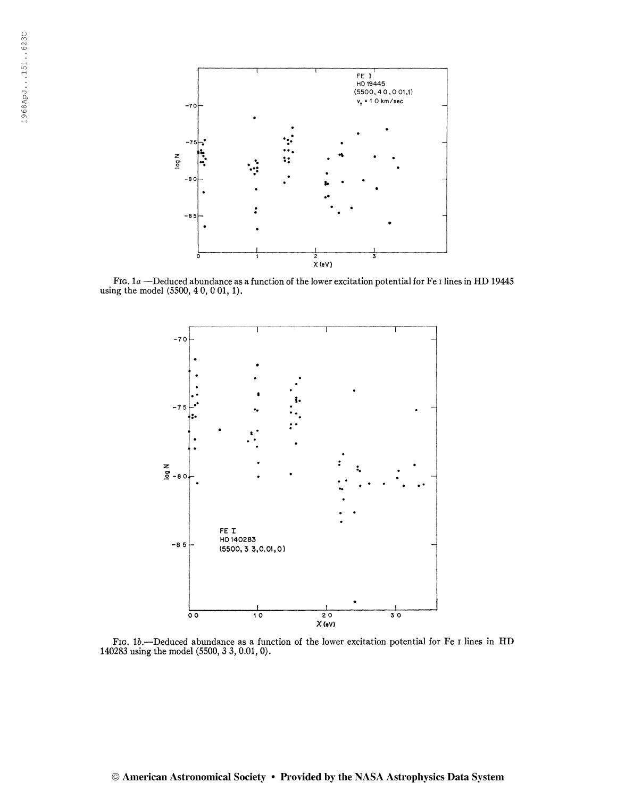

FIG.  $1a$  –Deduced abundance as a function of the lower excitation potential for Fe I lines in HD 19445 using the model (5500, 4 0, 0 01, 1).



FIG. 1b.—Deduced abundance as a function of the lower excitation potential for Fe I lines in HD 140283 using the model (5500, 3 3, 0.01, 0).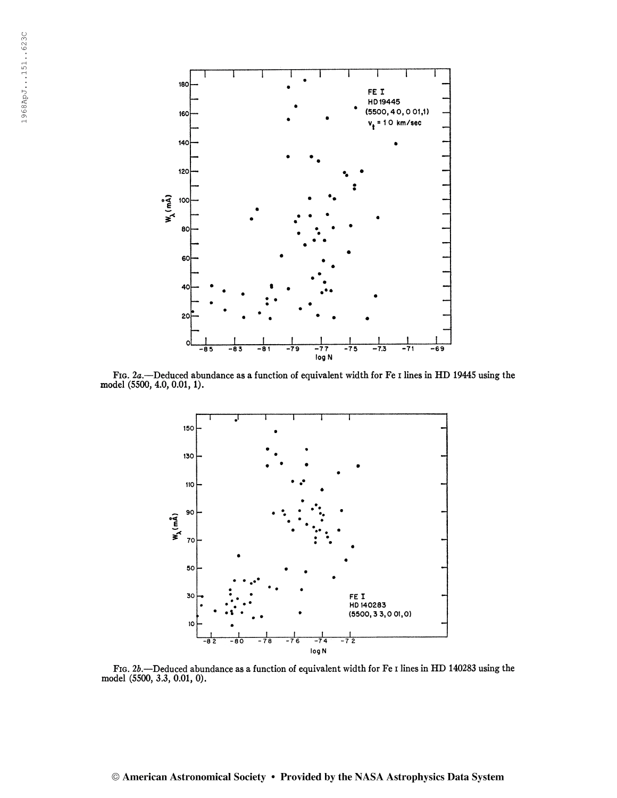

FIG. 2a.—Deduced abundance as a function of equivalent width for Fe I lines in HD 19445 using the model (5500, 4.0, 0.01,1).



Fig. 2b.—Deduced abundance as a function of equivalent width for Fe i lines in HD 140283 using the model (5500, 3.3, 0.01, 0).

## © American Astronomical Society • Provided by the NASA Astrophysics Data System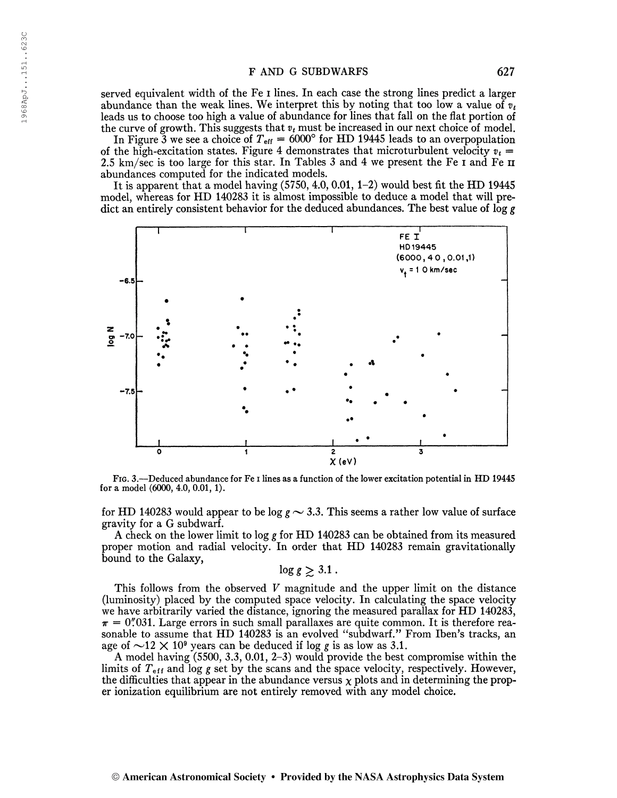served equivalent width of the Fe i lines. In each case the strong lines predict a larger abundance than the weak lines. We interpret this by noting that too low a value of  $v_t$ leads us to choose too high a value of abundance for lines that fall on the flat portion of the curve of growth. This suggests that  $v_t$  must be increased in our next choice of model.

In Figure 3 we see a choice of  $T_{\text{eff}} = 6000^{\circ}$  for HD 19445 leads to an overpopulation of the high-excitation states. Figure 4 demonstrates that microturbulent velocity  $v_t =$ 2.5 km/sec is too large for this star. In Tables <sup>3</sup> and 4 we present the Fe i and Fe n abundances computed for the indicated models.

It is apparent that a model having (5750, 4.0, 0.01, 1-2) would best fit the HD 19445 model, whereas for HD 140283 it is almost impossible to deduce a model that will predict an entirely consistent behavior for the deduced abundances. The best value of  $\log g$ 



Fig. 3.—Deduced abundance for Fe i lines as a function of the lower excitation potential in HD 19445 for a model (6000, 4.0, 0.01, 1).

for HD 140283 would appear to be log  $g \sim 3.3$ . This seems a rather low value of surface gravity for a G subdwarf.

A check on the lower limit to log g for HD 140283 can be obtained from its measured proper motion and radial velocity. In order that HD 140283 remain gravitationally bound to the Galaxy,

$$
\log g \gtrsim 3.1\,.
$$

This follows from the observed  $V$  magnitude and the upper limit on the distance (luminosity) placed by the computed space velocity. In calculating the space velocity we have arbitrarily varied the distance, ignoring the measured parallax for HD 140283,  $\pi = 0''\ldots 031$ . Large errors in such small parallaxes are quite common. It is therefore reasonable to assume that HD 140283 is an evolved "subdwarf." From Iben's tracks, an age of  $\sim$ 12  $\times$  10<sup>9</sup> years can be deduced if log g is as low as 3.1.

A model having (5500, 3.3, 0.01, 2-3) would provide the best compromise within the limits of  $T_{\text{eff}}$  and log g set by the scans and the space velocity, respectively. However, the difficulties that appear in the abundance versus  $\chi$  plots and in determining the proper ionization equilibrium are not entirely removed with any model choice.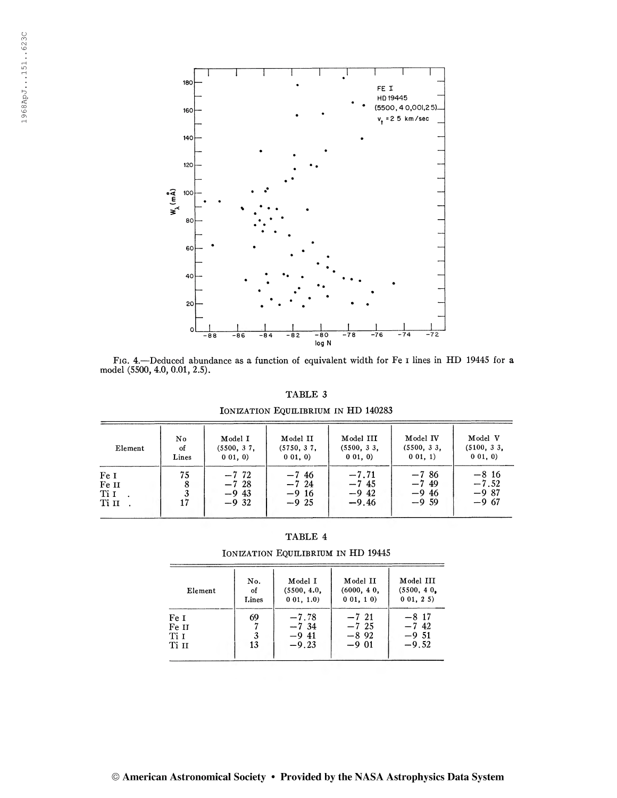

Fig. 4.—Deduced abundance as a function of equivalent width for Fe i lines in HD 19445 for a model (5500, 4.0, 0.01, 2.5).

TABLE 3

IONIZATION EQUILIBRIUM IN HD 140283

| Element                        | No.      | Model I                                   | Model II                                 | Model III                                 | Model IV                                 | Model V                                  |
|--------------------------------|----------|-------------------------------------------|------------------------------------------|-------------------------------------------|------------------------------------------|------------------------------------------|
|                                | οf       | (5500, 37,                                | (5750, 37,                               | (5500, 33, 3)                             | (5500, 33,                               | (5100, 33,                               |
|                                | Lines    | $0\;01,\;0)$                              | 001, 0)                                  | 001.0                                     | $0\;01,1)$                               | 001, 0)                                  |
| Fe I<br>Fe II<br>Ti I<br>Ti II | 75<br>17 | $-7, 72$<br>$-7,28$<br>$-9,43$<br>$-9.32$ | $-7,46$<br>$-7,24$<br>$-9,16$<br>$-9.25$ | $-7.71$<br>$-7, 45$<br>$-9.42$<br>$-9.46$ | $-7,86$<br>$-7,49$<br>$-9.46$<br>$-9,59$ | $-8,16$<br>$-7.52$<br>$-9.87$<br>$-9.67$ |

| <b>TABLE</b> |  |
|--------------|--|
|--------------|--|

IONIZATION EQUILIBRIUM IN HD 19445

| Element                        | No.           | Model I                                  | Model II                                 | Model III                                 |
|--------------------------------|---------------|------------------------------------------|------------------------------------------|-------------------------------------------|
|                                | of            | (5500, 4.0,                              | (6000, 40, 10)                           | (5500, 40,                                |
|                                | Lines         | $0\;01, 1.0$                             | 001, 10                                  | $0\;01,\;2\;5)$                           |
| Fe I<br>Fe II<br>Ti I<br>Ti II | 69<br>3<br>13 | $-7.78$<br>$-7,34$<br>$-9.41$<br>$-9.23$ | $-7,21$<br>$-7,25$<br>$-8.92$<br>$-9.01$ | $-8, 17$<br>$-7,42$<br>$-9,51$<br>$-9.52$ |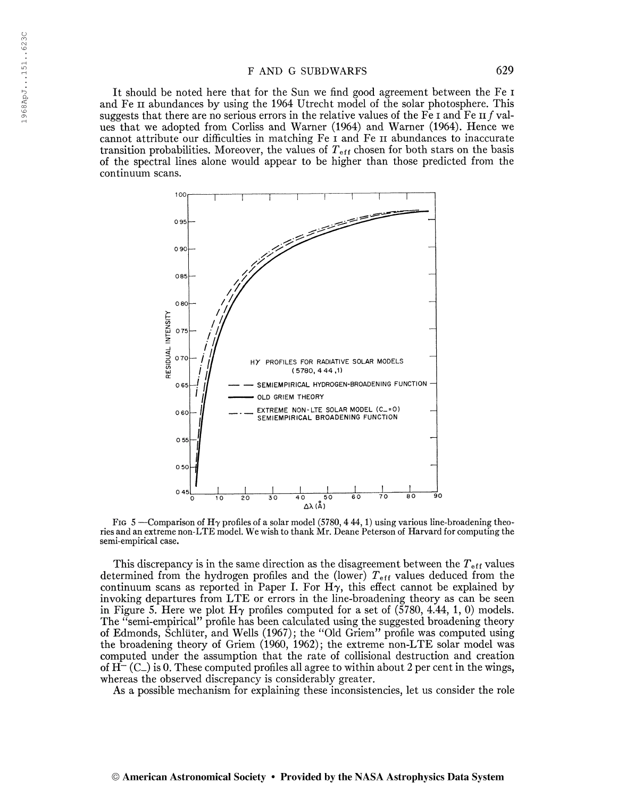It should be noted here that for the Sun we find good agreement between the Fe i and Fe II abundances by using the 1964 Utrecht model of the solar photosphere. This suggests that there are no serious errors in the relative values of the Fe I and Fe II f values that we adopted from Corliss and Warner (1964) and Warner (1964). Hence we cannot attribute our difficulties in matching Fe i and Fe n abundances to inaccurate transition probabilities. Moreover, the values of  $T_{\text{eff}}$  chosen for both stars on the basis of the spectral lines alone would appear to be higher than those predicted from the continuum scans.



Fig 5 —Comparison of H $\gamma$  profiles of a solar model (5780, 444, 1) using various line-broadening theories and an extreme non-LTE model. We wish to thank Mr. Deane Peterson of Harvard for computing the semi-empirical case.

This discrepancy is in the same direction as the disagreement between the  $T_{\text{eff}}$  values determined from the hydrogen profiles and the (lower)  $T_{\text{eff}}$  values deduced from the continuum scans as reported in Paper I. For  $H\gamma$ , this effect cannot be explained by invoking departures from LTE or errors in the line-broadening theory as can be seen in Figure 5. Here we plot  $H\gamma$  profiles computed for a set of (5780, 4.44, 1, 0) models. The "semi-empirical" profile has been calculated using the suggested broadening theory of Edmonds, Schlüter, and Wells (1967); the "Old Griem" profile was computed using the broadening theory of Griem (1960, 1962); the extreme non-LTE solar model was computed under the assumption that the rate of collisional destruction and creation of  $H^{-}(C_{-})$  is 0. These computed profiles all agree to within about 2 per cent in the wings, whereas the observed discrepancy is considerably greater.

As a possible mechanism for explaining these inconsistencies, let us consider the role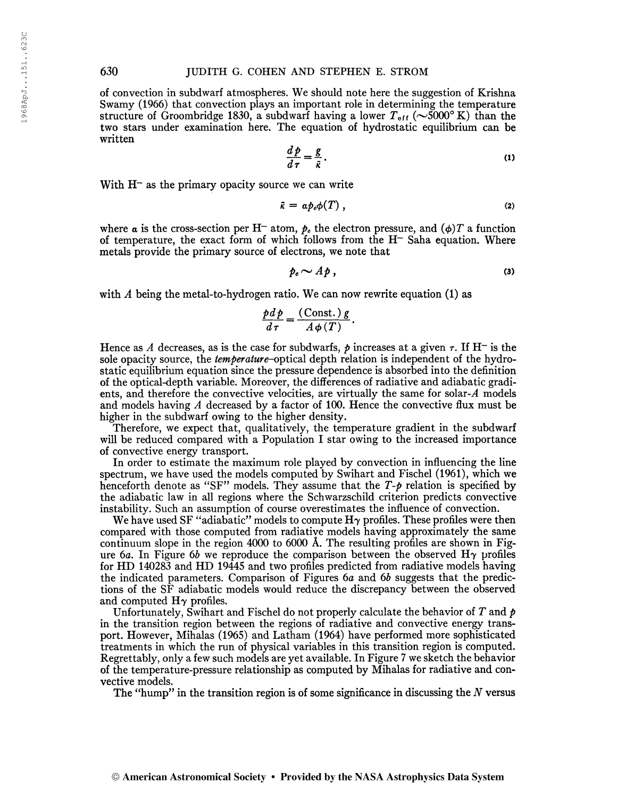of convection in subdwarf atmospheres. We should note here the suggestion of Krishna Swamy (1966) that convection plays an important role in determining the temperature structure of Groombridge 1830, a subdwarf having a lower  $T_{\text{eff}}$  ( $\sim$ 5000° K) than the two stars under examination here. The equation of hydrostatic equilibrium can be written

$$
\frac{d\,p}{d\,\tau} = \frac{g}{\bar{\kappa}}\,. \tag{1}
$$

With  $H<sup>-</sup>$  as the primary opacity source we can write

$$
\bar{\kappa} = \alpha p_e \phi(T) \,, \tag{2}
$$

where a is the cross-section per H<sup>-</sup> atom,  $p_e$  the electron pressure, and  $(\phi)T$  a function of temperature, the exact form of which follows from the  $H<sup>-</sup>$  Saha equation. Where metals provide the primary source of electrons, we note that

$$
p_e \sim Ap\,,\tag{3}
$$

with  $A$  being the metal-to-hydrogen ratio. We can now rewrite equation (1) as

$$
\frac{pd p}{d\tau} = \frac{(\text{Const.}) g}{A \phi(T)}.
$$

Hence as A decreases, as is the case for subdwarfs,  $\rho$  increases at a given  $\tau$ . If H<sup>-</sup> is the sole opacity source, the *temperature*-optical depth relation is independent of the hydrostatic equilibrium equation since the pressure dependence is absorbed into the definition of the optical-depth variable. Moreover, the differences of radiative and adiabatic gradients, and therefore the convective velocities, are virtually the same for solar- $A$  models and models having  $A$  decreased by a factor of 100. Hence the convective flux must be higher in the subdwarf owing to the higher density.

Therefore, we expect that, qualitatively, the temperature gradient in the subdwarf will be reduced compared with a Population I star owing to the increased importance of convective energy transport.

In order to estimate the maximum role played by convection in influencing the line spectrum, we have used the models computed by Swihart and Fischel (1961), which we henceforth denote as "SF" models. They assume that the  $T$ - $p$  relation is specified by the adiabatic law in all regions where the Schwarzschild criterion predicts convective instability. Such an assumption of course overestimates the influence of convection.

We have used SF "adiabatic" models to compute  $H<sub>\gamma</sub>$  profiles. These profiles were then compared with those computed from radiative models having approximately the same continuum slope in the region 4000 to 6000 Å. The resulting profiles are shown in Figure 6a. In Figure 6b we reproduce the comparison between the observed  $H\gamma$  profiles for HD 140283 and HD 19445 and two profiles predicted from radiative models having the indicated parameters. Comparison of Figures 6a and 6b suggests that the predictions of the SF adiabatic models would reduce the discrepancy between the observed and computed  $H\gamma$  profiles.

Unfortunately, Swihart and Fischel do not properly calculate the behavior of T and  $p$ in the transition region between the regions of radiative and convective energy transport. However, Mihalas (1965) and Latham (1964) have performed more sophisticated treatments in which the run of physical variables in this transition region is computed. Regrettably, only a few such models are yet available. In Figure <sup>7</sup> we sketch the behavior of the temperature-pressure relationship as computed by Mihalas for radiative and convective models.

The "hump" in the transition region is of some significance in discussing the  $N$  versus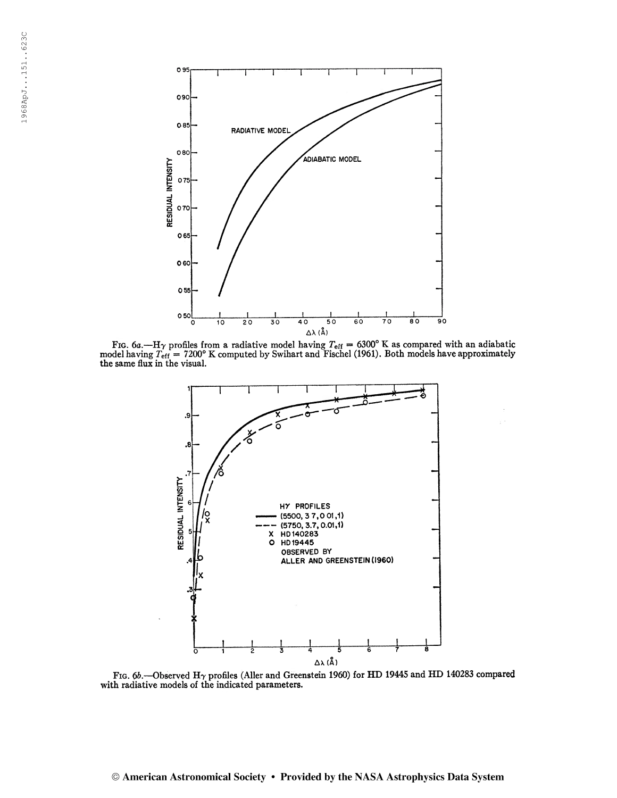

Fig. 6a.—H<sub>Y</sub> profiles from a radiative model having  $T_{\text{eff}} = 6300^{\circ}$  K as compared with an adiabatic model having  $T_{\text{eff}} = 7200^{\circ}$  K computed by Swihart and Fischel (1961). Both models have approximately the same f



Fig. 6b.—Observed H<sub> $\gamma$ </sub> profiles (Aller and Greenstein 1960) for HD 19445 and HD 140283 compared with radiative models of the indicated parameters.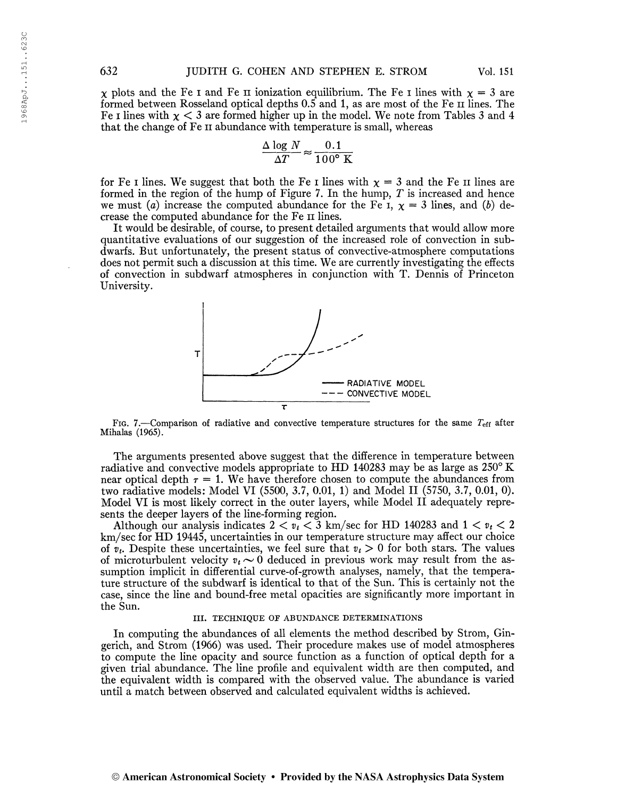$\chi$  plots and the Fe I and Fe II ionization equilibrium. The Fe I lines with  $\chi = 3$  are formed between Rosseland optical depths 0.5 and 1, as are most of the Fe n lines. The Fe I lines with  $\chi < 3$  are formed higher up in the model. We note from Tables 3 and 4 that the change of Fe n abundance with temperature is small, whereas

$$
\frac{\Delta \log N}{\Delta T} \approx \frac{0.1}{100^{\circ} \text{ K}}
$$

for Fe I lines. We suggest that both the Fe I lines with  $\chi = 3$  and the Fe II lines are formed in the region of the hump of Figure 7. In the hump,  $T$  is increased and hence we must (a) increase the computed abundance for the Fe I,  $\chi = 3$  lines, and (b) decrease the computed abundance for the Fe n lines.

It would be desirable, of course, to present detailed arguments that would allow more quantitative evaluations of our suggestion of the increased role of convection in subdwarfs. But unfortunately, the present status of convective-atmosphere computations does not permit such a discussion at this time. We are currently investigating the effects of convection in subdwarf atmospheres in conjunction with T. Dennis of Princeton University.



Fig. 7.—Comparison of radiative and convective temperature structures for the same  $T_{\text{eff}}$  after Mihalas (1965).

The arguments presented above suggest that the difference in temperature between radiative and convective models appropriate to HD 140283 may be as large as 250° K near optical depth  $\tau = 1$ . We have therefore chosen to compute the abundances from two radiative models: Model VI (5500, 3.7, 0.01, 1) and Model II (5750, 3.7, 0.01, 0). Model VI is most likely correct in the outer layers, while Model II adequately represents the deeper layers of the line-forming region.

Although our analysis indicates  $2 < v_t < 3$  km/sec for HD 140283 and  $1 < v_t < 2$ km/sec for HD 19445, uncertainties in our temperature structure may affect our choice of  $v_t$ . Despite these uncertainties, we feel sure that  $v_t > 0$  for both stars. The values of microturbulent velocity  $v_t \sim 0$  deduced in previous work may result from the assumption implicit in differential curve-of-growth analyses, namely, that the temperature structure of the subdwarf is identical to that of the Sun. This is certainly not the case, since the line and bound-free metal opacities are significantly more important in the Sun.

#### III. TECHNIQUE OF ABUNDANCE DETERMINATIONS

In computing the abundances of all elements the method described by Strom, Gingerich, and Strom (1966) was used. Their procedure makes use of model atmospheres to compute the line opacity and source function as a function of optical depth for a given trial abundance. The line profile and equivalent width are then computed, and the equivalent width is compared with the observed value. The abundance is varied until a match between observed and calculated equivalent widths is achieved.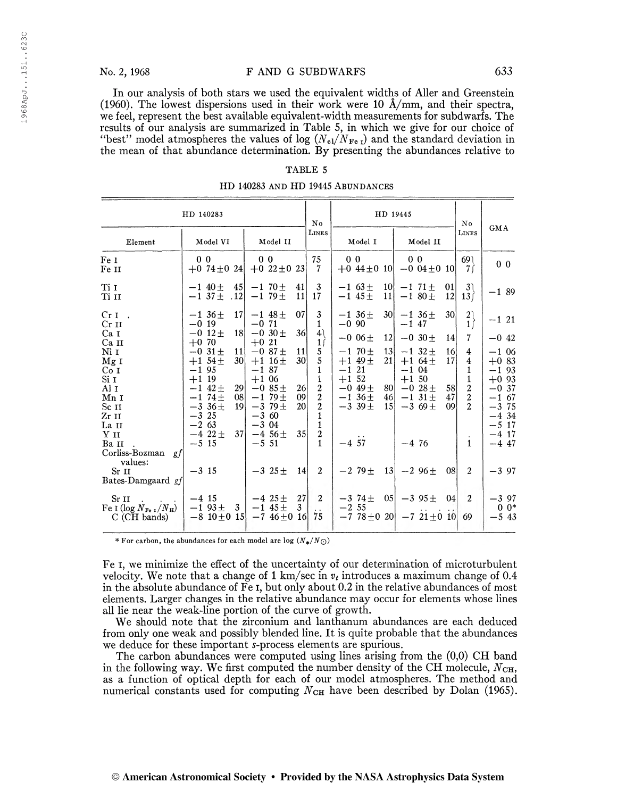In our analysis of both stars we used the equivalent widths of Aller and Greenstein (1960). The lowest dispersions used in their work were 10 Â/mm, and their spectra, we feel, represent the best available equivalent-width measurements for subdwarfs. The results of our analysis are summarized in Table 5, in which we give for our choice of "best" model atmospheres the values of log  $(N_{el}/N_{FeI})$  and the standard deviation in the mean of that abundance determination. By presenting the abundances relative to

#### TABLE 5

|  |  |  |  | HD 140283 AND HD 19445 ABUNDANCES |
|--|--|--|--|-----------------------------------|
|--|--|--|--|-----------------------------------|

| HD 140283                                     |                    |                                              | No                     | HD 19445           |                                          |                               |                                                           |          |                                         | No                           |                |                                         |                            |                                      |                                           |
|-----------------------------------------------|--------------------|----------------------------------------------|------------------------|--------------------|------------------------------------------|-------------------------------|-----------------------------------------------------------|----------|-----------------------------------------|------------------------------|----------------|-----------------------------------------|----------------------------|--------------------------------------|-------------------------------------------|
| Element                                       |                    | Model VI                                     |                        |                    | Model II                                 |                               | LINES                                                     |          | Model I                                 |                              |                | Model II                                |                            | LINES                                | <b>GMA</b>                                |
| Fe 1<br>Fe II                                 | 0 <sub>0</sub>     | $+0$ 74 $\pm$ 0 24                           |                        |                    | 0 <sub>0</sub><br>$+0.22 \pm 0.23$       |                               | 75<br>-7                                                  |          | 0 <sub>0</sub>                          |                              | 0 <sub>0</sub> | $+0.44 \pm 0.10$ $-0.04 \pm 0.10$       |                            | 69<br>7ſ                             | 0 <sub>0</sub>                            |
| Ti I<br>Ti II                                 |                    | $-1.40 \pm$<br>$-1,37 \pm .12$               | 45                     |                    | $-170 \pm$<br>$-179 \pm$                 | 41<br>11                      | $\mathbf{3}$<br>17                                        |          | $-1,63\pm$<br>$-1$ 45 $\pm$             | <b>10</b><br>11              |                | $-1$ 71 $\pm$<br>$-1.80 \pm$            | 01<br> 12                  | 3)<br>13 <sup>2</sup>                | $-1.89$                                   |
| $CrI$ .<br>$Cr$ $II$                          | $-0.19$            | $-1, 36+$                                    | 17 <sup>1</sup>        | $-0.71$            | $-1$ 48 $\pm$                            | 07 <sup>1</sup>               | 3<br>1                                                    | $-0.90$  | $-1, 36+$                               | 30l                          | $-1$ 47        | $-1,36+$                                | 30                         | 2)<br>$\overline{1}$                 | $-1$ 21                                   |
| Ca I<br>Ca II                                 | $+0.70$            | $-0.12 +$                                    | 18 <sup>l</sup>        | $+0.21$            | $-0.30 \pm$                              | 36 <sup>l</sup>               | 4)<br>$1 \int$                                            |          | $-0.06\pm$                              | 12 <sup>1</sup>              |                | $-0.30 +$                               | 14                         | $\overline{7}$                       | $-0.42$                                   |
| Ni 1<br>Mg I<br>Co I                          | $-1, 95$           | $-0.31+$<br>$+1$ 54 $\pm$                    | 11 <sup>1</sup><br>30I | $-187$             | $-0.87 \pm$<br>$+1$ 16 $\pm$             | 11<br>30 <sup>1</sup>         | 5<br>5<br>1                                               | $-1, 21$ | $-1, 70+$<br>$+1$ 49 $\pm$              | 13 <sup>l</sup><br>21        | $-1$ 04        | $-1$ 32 $\pm$<br>$+1.64 \pm$            | 16 <sup>l</sup><br>17      | 4<br>$\overline{4}$<br>1             | $-1.06$<br>$+0.83$<br>$-1.93$             |
| Si I<br>Al 1<br>Mn 1<br>Sc II                 | $+1$ 19            | $-1$ 42 $\pm$<br>$-1$ 74 $\pm$<br>$-3.36\pm$ | 29<br>08<br>19         | $+1.06$            | $-0.85 \pm$<br>$-179 \pm$<br>$-379 \pm$  | 26<br> 09 <br>20 <sup>1</sup> | ï<br>$\overline{2}$<br>$\overline{2}$<br>$\boldsymbol{2}$ | $+1, 52$ | $-0.49 \pm$<br>$-1.36\pm$<br>$-3.39\pm$ | 80I<br>46<br>15 <sup>1</sup> | $+1, 50$       | $-0.28\pm$<br>$-1$ 31 $\pm$<br>$-3.69+$ | 58<br>47<br>0 <sup>0</sup> | 1<br>$\frac{2}{2}$<br>$\overline{2}$ | $+0.93$<br>$-0.37$<br>$-1,67$<br>$-3, 75$ |
| Zr II<br>La II<br>Yп                          | $-3, 25$<br>$-263$ | $-4$ 22+                                     | 37                     | $-3,60$<br>$-3.04$ | $-4.56 \pm$                              | $35$                          | 1<br>1<br>$\boldsymbol{2}$                                |          |                                         |                              |                |                                         |                            |                                      | $-4, 34$<br>$-5, 17$<br>$-4$ 17           |
| Ba II<br>Corliss-Bozman<br>gf                 | $-5, 15$           |                                              |                        | $-5, 51$           |                                          |                               | 1                                                         | $-4,57$  |                                         |                              | $-4,76$        |                                         |                            | 1                                    | $-4,47$                                   |
| values:<br>Sr II<br>Bates-Damgaard gf         | $-3, 15$           |                                              |                        |                    | $-3.25\pm$                               | 14                            | $\overline{2}$                                            |          | $-279+$                                 |                              |                | $13 - 296 \pm$                          | 08                         | $\overline{2}$                       | $-3.97$                                   |
| Sr II<br>Fe I (log $N_{\rm Fe~1}/N_{\rm H}$ ) | $-4, 15$           | $-1.93 +$                                    | 3 <sup>1</sup>         |                    | $-4.25 \pm$<br>$-1$ 45 $\pm$             | 27<br>3 <sup>1</sup>          | $\boldsymbol{2}$<br>. .                                   |          | $-374+$<br>$-2, 55$                     | 05 <sup>1</sup>              |                | $-3.95+$                                | 04                         | 2                                    | $-3.97$<br>$0 \; 0^*$                     |
| $C$ (CH bands)                                |                    |                                              |                        |                    | $-8$ 10 $\pm$ 0 15 $-7$ 46 $\pm$ 0 16 75 |                               |                                                           |          |                                         |                              |                | $-7$ 78 ± 0 20 $-7$ 21 ± 0 10           |                            | 69                                   | $-543$                                    |

\* For carbon, the abundances for each model are log  $(N_*/N_{\odot})$ 

Fe I, we minimize the effect of the uncertainty of our determination of microturbulent velocity. We note that a change of 1 km/sec in  $v_t$  introduces a maximum change of 0.4 in the absolute abundance of Fe I, but only about 0.2 in the relative abundances of most elements. Larger changes in the relative abundance may occur for elements whose lines all lie near the weak-line portion of the curve of growth.

We should note that the zirconium and lanthanum abundances are each deduced from only one weak and possibly blended line. It is quite probable that the abundances we deduce for these important *s*-process elements are spurious.

The carbon abundances were computed using lines arising from the (0,0) CH band in the following way. We first computed the number density of the CH molecule,  $N_{\text{CH}}$ , as a function of optical depth for each of our model atmospheres. The method and numerical constants used for computing  $N_{\text{CH}}$  have been described by Dolan (1965).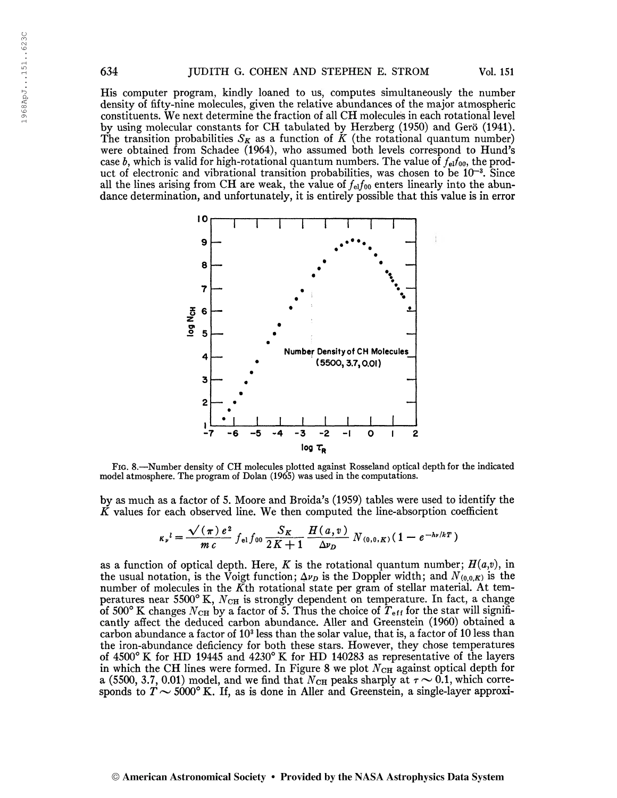His computer program, kindly loaned to us, computes simultaneously the number density of fifty-nine molecules, given the relative abundances of the major atmospheric constituents. We next determine the fraction of all CH molecules in each rotational level by using molecular constants for CH tabulated by Herzberg (1950) and Gero (1941). The transition probabilities  $S_K$  as a function of K (the rotational quantum number) were obtained from Schadee (1964), who assumed both levels correspond to Hund's case b, which is valid for high-rotational quantum numbers. The value of  $f_{el}f_{00}$ , the product of electronic and vibrational transition probabilities, was chosen to be 10<sup>-3</sup>. Since all the lines arising from CH are weak, the value of  $f_{el}f_{00}$  enters linearly into the abundance determination, and unfortunately, it is entirely possible that this value is in error



Fig. 8.—Number density of CH molecules plotted against Rosseland optical depth for the indicated model atmosphere. The program of Dolan (1965) was used in the computations.

by as much as a factor of 5. Moore and Broida's (1959) tables were used to identify the

$$
\tilde{K} \text{ values for each observed line. We then computed the line-absorption coefficient}
$$
\n
$$
\kappa_r^l = \frac{\sqrt{(\pi)} e^2}{m c} f_{el} f_{00} \frac{S_K}{2K+1} \frac{H(a, v)}{\Delta v_D} N_{(0,0,K)} (1 - e^{-\hbar r/kT})
$$

as a function of optical depth. Here, K is the rotational quantum number;  $H(a,v)$ , in the usual notation, is the Voigt function;  $\Delta \nu_D$  is the Doppler width; and  $N_{(0,0,K)}$  is the number of molecules in the  $\overline{K}$ th rotational state per gram of stellar material. At temperatures near  $5500^{\circ}$  K,  $N_{CH}$  is strongly dependent on temperature. In fact, a change of 500° K changes  $N_{\text{CH}}$  by a factor of 5. Thus the choice of  $T_{\text{eff}}$  for the star will significantly affect the deduced carbon abundance. Aller and Greenstein (1960) obtained a carbon abundance a factor of 10<sup>3</sup> less than the solar value, that is, a factor of 10 less than the iron-abundance deficiency for both these stars. However, they chose temperatures of 4500° K for HD 19445 and 4230° K for HD 140283 as representative of the layers in which the CH lines were formed. In Figure 8 we plot  $N_{\text{CH}}$  against optical depth for a (5500, 3.7, 0.01) model, and we find that  $N_{\text{CH}}$  peaks sharply at  $\tau \sim 0.1$ , which corresponds to  $T \sim 5000^{\circ}$  K. If, as is done in Aller and Greenstein, a single-layer approxi-

#### © American Astronomical Society • Provided by the NASA Astrophysics Data System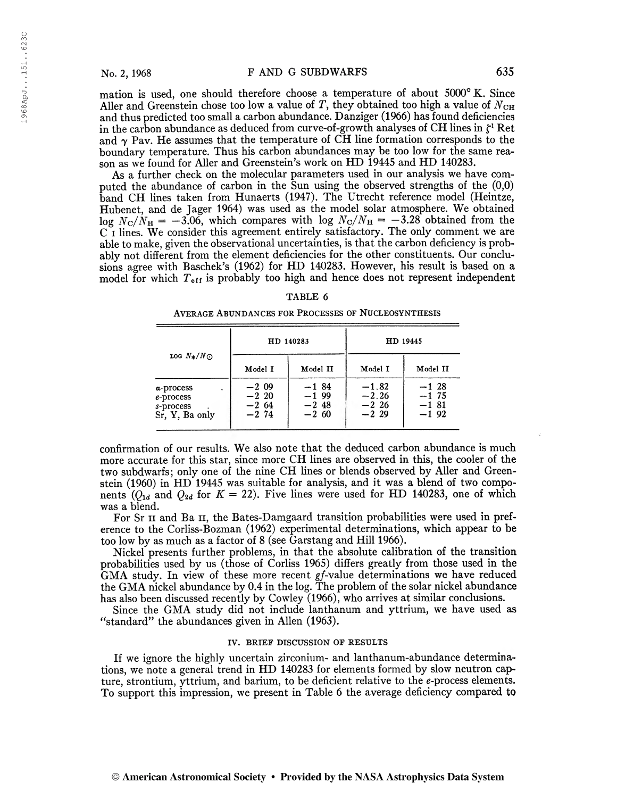mation is used, one should therefore choose a temperature of about 5000° K. Since Aller and Greenstein chose too low a value of T, they obtained too high a value of  $N_{\text{CH}}$ and thus predicted too small a carbon abundance. Danziger (1966) has found deficiencies in the carbon abundance as deduced from curve-of-growth analyses of CH lines in  $\zeta^1$  Ret and  $\gamma$  Pav. He assumes that the temperature of CH line formation corresponds to the boundary temperature. Thus his carbon abundances may be too low for the same reason as we found for Aller and Greenstein's work on HD 19445 and HD 140283.

As a further check on the molecular parameters used in our analysis we have computed the abundance of carbon in the Sun using the observed strengths of the (0,0) band CH lines taken from Hunaerts (1947). The Utrecht reference model (Heintze, Hubenet, and de Jager 1964) was used as the model solar atmosphere. We obtained log  $N_{\rm C}/N_{\rm H} = -3.06$ , which compares with log  $N_{\rm C}/N_{\rm H} = -3.28$  obtained from the C i lines. We consider this agreement entirely satisfactory. The only comment we are able to make, given the observational uncertainties, is that the carbon deficiency is probably not different from the element deficiencies for the other constituents. Our conclusions agree with Baschek's (1962) for HD 140283. However, his result is based on a model for which  $T_{\text{eff}}$  is probably too high and hence does not represent independent

## TABLE 6

Average Abundances for Processes of Nucleosynthesis

|                      |          | HD 140283 | HD 19445 |          |  |  |  |
|----------------------|----------|-----------|----------|----------|--|--|--|
| $\log N_*/N_{\odot}$ | Model I  | Model II  | Model I  | Model II |  |  |  |
| a-process            | $-2.09$  | $-184$    | $-1.82$  | $-1, 28$ |  |  |  |
| e-process            | $-2, 20$ | $-1.99$   | $-2.26$  | $-1, 75$ |  |  |  |
| s-process            | $-2.64$  | $-248$    | $-2, 26$ | $-181$   |  |  |  |
| Sr, Y, Ba only       | $-2, 74$ | $-2,60$   | $-2, 29$ | $-1.92$  |  |  |  |

confirmation of our results. We also note that the deduced carbon abundance is much more accurate for this star, since more CH lines are observed in this, the cooler of the two subdwarfs; only one of the nine CH lines or blends observed by Aller and Greenstein (I960) in HD 19445 was suitable for analysis, and it was a blend of two components  $(O_{1d}$  and  $O_{2d}$  for  $K = 22$ ). Five lines were used for HD 140283, one of which was a blend.

For Sr II and Ba II, the Bates-Damgaard transition probabilities were used in preference to the Corliss-Bozman (1962) experimental determinations, which appear to be too low by as much as a factor of 8 (see Garstang and Hill 1966).

Nickel presents further problems, in that the absolute calibration of the transition probabilities used by us (those of Corliss 1965) differs greatly from those used in the GMA study. In view of these more recent gf-value determinations we have reduced the GMA nickel abundance by 0.4 in the log. The problem of the solar nickel abundance has also been discussed recently by Cowley (1966), who arrives at similar conclusions.

Since the GMA study did not include lanthanum and yttrium, we have used as "standard" the abundances given in Allen (1963).

#### IV. BRIEF DISCUSSION OF RESULTS

If we ignore the highly uncertain zirconium- and lanthanum-abundance determinations, we note a general trend in HD 140283 for elements formed by slow neutron capture, strontium, yttrium, and barium, to be deficient relative to the e-process elements. To support this impression, we present in Table 6 the average deficiency compared to